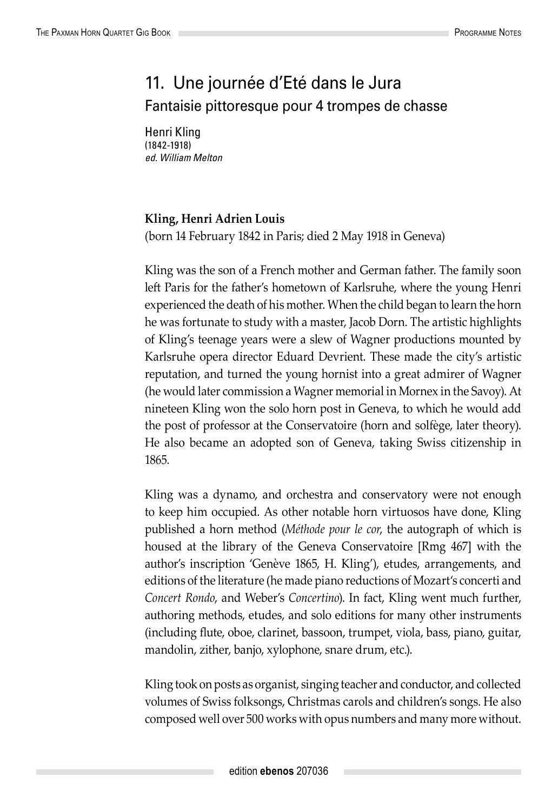## 11. Une journée d'Eté dans le Jura Fantaisie pittoresque pour 4 trompes de chasse

Henri Kling (1842-1918) *ed. William Melton*

## **Kling, Henri Adrien Louis**

(born 14 February 1842 in Paris; died 2 May 1918 in Geneva)

Kling was the son of a French mother and German father. The family soon left Paris for the father's hometown of Karlsruhe, where the young Henri experienced the death of his mother. When the child began to learn the horn he was fortunate to study with a master, Jacob Dorn. The artistic highlights of Kling's teenage years were a slew of Wagner productions mounted by Karlsruhe opera director Eduard Devrient. These made the city's artistic reputation, and turned the young hornist into a great admirer of Wagner (he would later commission a Wagner memorial in Mornex in the Savoy). At nineteen Kling won the solo horn post in Geneva, to which he would add the post of professor at the Conservatoire (horn and solfège, later theory). He also became an adopted son of Geneva, taking Swiss citizenship in 1865.

Kling was a dynamo, and orchestra and conservatory were not enough to keep him occupied. As other notable horn virtuosos have done, Kling published a horn method (*Méthode pour le cor*, the autograph of which is housed at the library of the Geneva Conservatoire [Rmg 467] with the author's inscription 'Genève 1865, H. Kling'), etudes, arrangements, and editions of the literature (he made piano reductions of Mozart's concerti and *Concert Rondo*, and Weber's *Concertino*). In fact, Kling went much further, authoring methods, etudes, and solo editions for many other instruments (including flute, oboe, clarinet, bassoon, trumpet, viola, bass, piano, guitar, mandolin, zither, banjo, xylophone, snare drum, etc.).

Kling took on posts as organist, singing teacher and conductor, and collected volumes of Swiss folksongs, Christmas carols and children's songs. He also composed well over 500 works with opus numbers and many more without.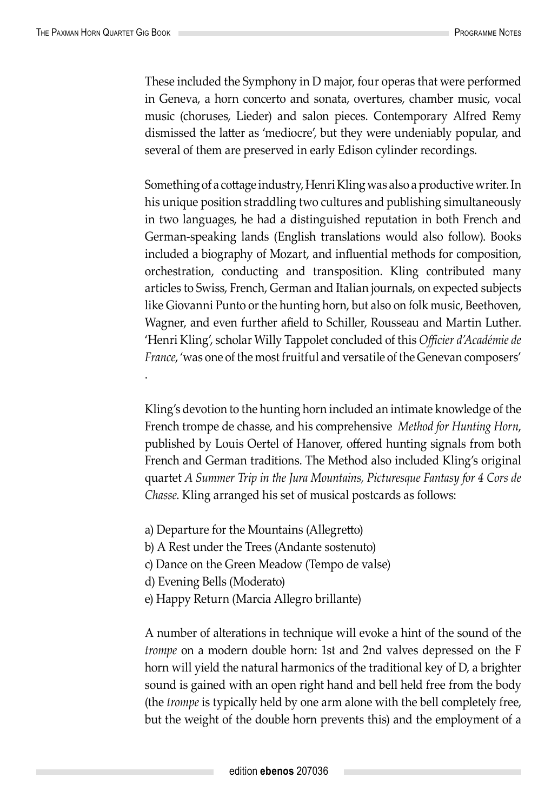.

These included the Symphony in D major, four operas that were performed in Geneva, a horn concerto and sonata, overtures, chamber music, vocal music (choruses, Lieder) and salon pieces. Contemporary Alfred Remy dismissed the latter as 'mediocre', but they were undeniably popular, and several of them are preserved in early Edison cylinder recordings.

Something of a cottage industry, Henri Kling was also a productive writer. In his unique position straddling two cultures and publishing simultaneously in two languages, he had a distinguished reputation in both French and German-speaking lands (English translations would also follow). Books included a biography of Mozart, and influential methods for composition, orchestration, conducting and transposition. Kling contributed many articles to Swiss, French, German and Italian journals, on expected subjects like Giovanni Punto or the hunting horn, but also on folk music, Beethoven, Wagner, and even further afield to Schiller, Rousseau and Martin Luther. 'Henri Kling', scholar Willy Tappolet concluded of this *Officier d'Académie de France*, 'was one of the most fruitful and versatile of the Genevan composers'

Kling's devotion to the hunting horn included an intimate knowledge of the French trompe de chasse, and his comprehensive *Method for Hunting Horn*, published by Louis Oertel of Hanover, offered hunting signals from both French and German traditions. The Method also included Kling's original quartet *A Summer Trip in the Jura Mountains, Picturesque Fantasy for 4 Cors de Chasse*. Kling arranged his set of musical postcards as follows:

a) Departure for the Mountains (Allegretto)

b) A Rest under the Trees (Andante sostenuto)

c) Dance on the Green Meadow (Tempo de valse)

d) Evening Bells (Moderato)

e) Happy Return (Marcia Allegro brillante)

A number of alterations in technique will evoke a hint of the sound of the *trompe* on a modern double horn: 1st and 2nd valves depressed on the F horn will yield the natural harmonics of the traditional key of D, a brighter sound is gained with an open right hand and bell held free from the body (the *trompe* is typically held by one arm alone with the bell completely free, but the weight of the double horn prevents this) and the employment of a